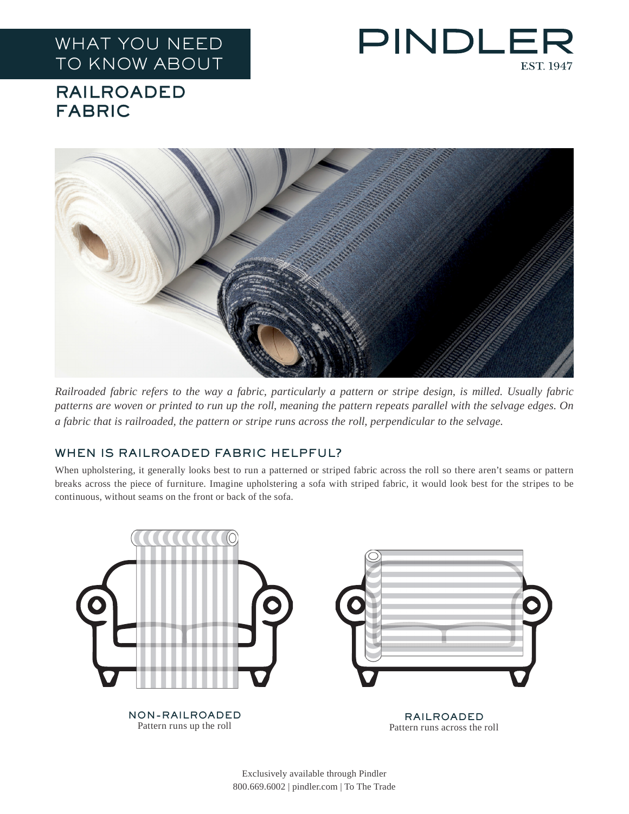## WHAT YOU NEED TO KNOW ABOUT



## RAILROADED FABRIC



*Railroaded fabric refers to the way a fabric, particularly a pattern or stripe design, is milled. Usually fabric patterns are woven or printed to run up the roll, meaning the pattern repeats parallel with the selvage edges. On a fabric that is railroaded, the pattern or stripe runs across the roll, perpendicular to the selvage.*

## WHEN IS RAILROADED FABRIC HELPFUL?

When upholstering, it generally looks best to run a patterned or striped fabric across the roll so there aren't seams or pattern breaks across the piece of furniture. Imagine upholstering a sofa with striped fabric, it would look best for the stripes to be continuous, without seams on the front or back of the sofa.



Exclusively available through Pindler 800.669.6002 | pindler.com | To The Trade